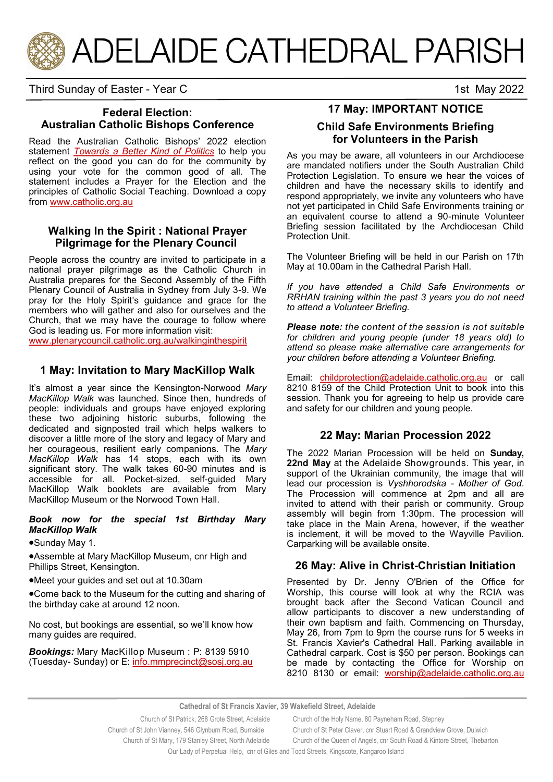

Third Sunday of Easter - Year C 1st May 2022

## **Federal Election: Australian Catholic Bishops Conference**

Read the Australian Catholic Bishops' 2022 election statement *[Towards a Better Kind of Politics](https://adelaide.catholic.org.au/__files/f/123242/6.Towards%20a%20Better%20Kind%20of%20Politics%20FINAL.pdf)* to help you reflect on the good you can do for the community by using your vote for the common good of all. The statement includes a Prayer for the Election and the principles of Catholic Social Teaching. Download a copy from [www.catholic.org.au](http://www.catholic.org.au)

## **Walking In the Spirit : National Prayer Pilgrimage for the Plenary Council**

People across the country are invited to participate in a national prayer pilgrimage as the Catholic Church in Australia prepares for the Second Assembly of the Fifth Plenary Council of Australia in Sydney from July 3-9. We pray for the Holy Spirit's guidance and grace for the members who will gather and also for ourselves and the Church, that we may have the courage to follow where God is leading us. For more information visit:

[www.plenarycouncil.catholic.org.au/walkinginthespirit](http://www.plenarycouncil.catholic.org.au/walkinginthespirit)

### **1 May: Invitation to Mary MacKillop Walk**

It's almost a year since the Kensington-Norwood *Mary MacKillop Walk* was launched. Since then, hundreds of people: individuals and groups have enjoyed exploring these two adjoining historic suburbs, following the dedicated and signposted trail which helps walkers to discover a little more of the story and legacy of Mary and her courageous, resilient early companions. The *Mary MacKillop Walk* has 14 stops, each with its own significant story. The walk takes 60-90 minutes and is accessible for all. Pocket-sized, self-guided Mary MacKillop Walk booklets are available from Mary MacKillop Museum or the Norwood Town Hall.

#### *Book now for the special 1st Birthday Mary MacKillop Walk*

Sunday May 1.

Assemble at Mary MacKillop Museum, cnr High and Phillips Street, Kensington.

Meet your guides and set out at 10.30am

Come back to the Museum for the cutting and sharing of the birthday cake at around 12 noon.

No cost, but bookings are essential, so we'll know how many guides are required.

*Bookings:* Mary MacKillop Museum : P: 8139 5910 (Tuesday- Sunday) or E: [info.mmprecinct@sosj.org.au](mailto:info.mmprecinct@sosj.org.au)

# **17 May: IMPORTANT NOTICE**

#### **Child Safe Environments Briefing for Volunteers in the Parish**

As you may be aware, all volunteers in our Archdiocese are mandated notifiers under the South Australian Child Protection Legislation. To ensure we hear the voices of children and have the necessary skills to identify and respond appropriately, we invite any volunteers who have not yet participated in Child Safe Environments training or an equivalent course to attend a 90-minute Volunteer Briefing session facilitated by the Archdiocesan Child Protection Unit.

The Volunteer Briefing will be held in our Parish on 17th May at 10.00am in the Cathedral Parish Hall.

*If you have attended a Child Safe Environments or RRHAN training within the past 3 years you do not need to attend a Volunteer Briefing.*

*Please note: the content of the session is not suitable for children and young people (under 18 years old) to attend so please make alternative care arrangements for your children before attending a Volunteer Briefing.* 

Email: [childprotection@adelaide.catholic.org.au](mailto:childprotection@adelaide.catholic.org.au) or call 8210 8159 of the Child Protection Unit to book into this session. Thank you for agreeing to help us provide care and safety for our children and young people.

### **22 May: Marian Procession 2022**

The 2022 Marian Procession will be held on **Sunday, 22nd May** at the Adelaide Showgrounds. This year, in support of the Ukrainian community, the image that will lead our procession is *Vyshhorodska - Mother of God*. The Procession will commence at 2pm and all are invited to attend with their parish or community. Group assembly will begin from 1:30pm. The procession will take place in the Main Arena, however, if the weather is inclement, it will be moved to the Wayville Pavilion. Carparking will be available onsite.

### **26 May: Alive in Christ-Christian Initiation**

Presented by Dr. Jenny O'Brien of the Office for Worship, this course will look at why the RCIA was brought back after the Second Vatican Council and allow participants to discover a new understanding of their own baptism and faith. Commencing on Thursday, May 26, from 7pm to 9pm the course runs for 5 weeks in St. Francis Xavier's Cathedral Hall. Parking available in Cathedral carpark. Cost is \$50 per person. Bookings can be made by contacting the Office for Worship on 8210 8130 or email: [worship@adelaide.catholic.org.au](mailto:worship@adelaide.catholic.org.au)

**Cathedral of St Francis Xavier, 39 Wakefield Street, Adelaide**

Our Lady of Perpetual Help, cnr of Giles and Todd Streets, Kingscote, Kangaroo Island

Church of St Patrick, 268 Grote Street, Adelaide Church of the Holy Name, 80 Payneham Road, Stepney Church of St John Vianney, 546 Glynburn Road, Burnside Church of St Peter Claver, cnr Stuart Road & Grandview Grove, Dulwich Church of St Mary, 179 Stanley Street, North Adelaide Church of the Queen of Angels, cnr South Road & Kintore Street, Thebarton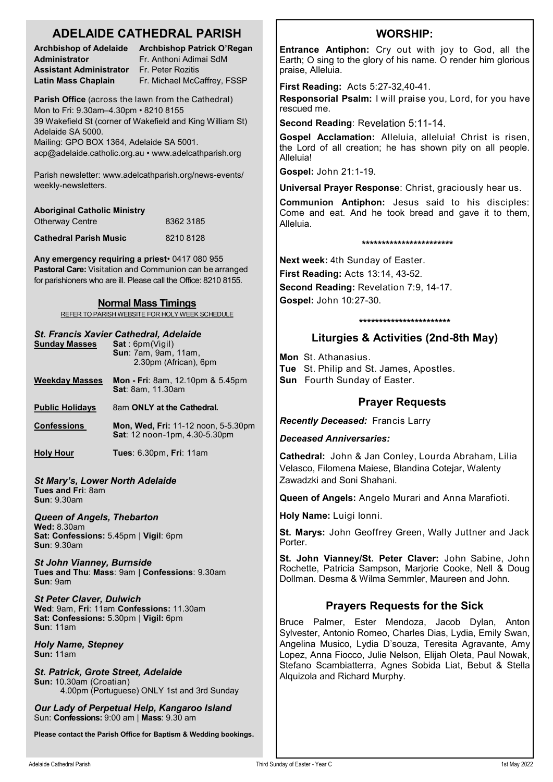# **ADELAIDE CATHEDRAL PARISH**

**Administrator Fr. Anthoni Adimai SdM Assistant Administrator** Fr. Peter Rozitis

**Archbishop of Adelaide Archbishop Patrick O'Regan Latin Mass Chaplain** Fr. Michael McCaffrey, FSSP

**Parish Office** (across the lawn from the Cathedral) Mon to Fri: 9.30am–4.30pm • 8210 8155 39 Wakefield St (corner of Wakefield and King William St) Adelaide SA 5000.

Mailing: GPO BOX 1364, Adelaide SA 5001. acp@adelaide.catholic.org.au • www.adelcathparish.org

Parish newsletter: www.adelcathparish.org/news-events/ weekly-newsletters.

| <b>Aboriginal Catholic Ministry</b> |           |
|-------------------------------------|-----------|
| <b>Otherway Centre</b>              | 8362 3185 |
| <b>Cathedral Parish Music</b>       | 82108128  |

**Any emergency requiring a priest**• 0417 080 955 **Pastoral Care:** Visitation and Communion can be arranged for parishioners who are ill. Please call the Office: 8210 8155.

#### **Normal Mass Timings**

REFER TO PARISH WEBSITE FOR HOLY WEEK SCHEDULE

#### *St. Francis Xavier Cathedral, Adelaide*

| <b>Sunday Masses</b>                   | Sat:6pm(Viqil)<br><b>Sun: 7am. 9am. 11am.</b><br>2.30pm (African), 6pm      |  |
|----------------------------------------|-----------------------------------------------------------------------------|--|
| <b>Weekday Masses</b>                  | <b>Mon - Fri</b> : 8am, 12.10pm & 5.45pm<br><b>Sat: 8am, 11.30am</b>        |  |
| <b>Public Holidays</b>                 | 8am ONLY at the Cathedral.                                                  |  |
| <b>Confessions</b>                     | <b>Mon, Wed, Fri: 11-12 noon, 5-5.30pm</b><br>Sat: 12 noon-1pm, 4.30-5.30pm |  |
| <b>Holy Hour</b>                       | <b>Tues: 6.30pm, Fri: 11am</b>                                              |  |
| <b>St Mary's, Lower North Adelaide</b> |                                                                             |  |

**Tues and Fri**: 8am **Sun**: 9.30am

*Queen of Angels, Thebarton*

**Wed:** 8.30am **Sat: Confessions:** 5.45pm | **Vigil**: 6pm **Sun**: 9.30am

*St John Vianney, Burnside* **Tues and Thu**: **Mass**: 9am | **Confessions**: 9.30am **Sun**: 9am

*St Peter Claver, Dulwich* **Wed**: 9am, **Fri**: 11am **Confessions:** 11.30am **Sat: Confessions:** 5.30pm | **Vigil:** 6pm **Sun**: 11am

*Holy Name, Stepney* **Sun:** 11am

*St. Patrick, Grote Street, Adelaide* **Sun:** 10.30am (Croatian) 4.00pm (Portuguese) ONLY 1st and 3rd Sunday

*Our Lady of Perpetual Help, Kangaroo Island* Sun: **Confessions:** 9:00 am | **Mass**: 9.30 am

**Please contact the Parish Office for Baptism & Wedding bookings.**

# **WORSHIP:**

**Entrance Antiphon:** Cry out with joy to God, all the Earth; O sing to the glory of his name. O render him glorious praise, Alleluia.

**First Reading:** Acts 5:27-32,40-41.

**Responsorial Psalm:** I will praise you, Lord, for you have rescued me.

**Second Reading**: Revelation 5:11-14.

**Gospel Acclamation:** Alleluia, alleluia! Christ is risen, the Lord of all creation; he has shown pity on all people. Alleluia!

**Gospel:** John 21:1-19.

**Universal Prayer Response**: Christ, graciously hear us.

**Communion Antiphon:** Jesus said to his disciples: Come and eat. And he took bread and gave it to them, Alleluia.

#### **\*\*\*\*\*\*\*\*\*\*\*\*\*\*\*\*\*\*\*\*\*\*\***

**Next week:** 4th Sunday of Easter. **First Reading:** Acts 13:14, 43-52. **Second Reading:** Revelation 7:9, 14-17. **Gospel:** John 10:27-30.

#### **\*\*\*\*\*\*\*\*\*\*\*\*\*\*\*\*\*\*\*\*\*\*\***

# **Liturgies & Activities (2nd-8th May)**

**Mon** St. Athanasius. **Tue** St. Philip and St. James, Apostles. **Sun** Fourth Sunday of Easter.

# **Prayer Requests**

*Recently Deceased:* Francis Larry

*Deceased Anniversaries:* 

**Cathedral:** John & Jan Conley, Lourda Abraham, Lilia Velasco, Filomena Maiese, Blandina Cotejar, Walenty Zawadzki and Soni Shahani.

**Queen of Angels:** Angelo Murari and Anna Marafioti.

**Holy Name:** Luigi Ionni.

**St. Marys:** John Geoffrey Green, Wally Juttner and Jack Porter.

**St. John Vianney/St. Peter Claver:** John Sabine, John Rochette, Patricia Sampson, Marjorie Cooke, Nell & Doug Dollman. Desma & Wilma Semmler, Maureen and John.

# **Prayers Requests for the Sick**

Bruce Palmer, Ester Mendoza, Jacob Dylan, Anton Sylvester, Antonio Romeo, Charles Dias, Lydia, Emily Swan, Angelina Musico, Lydia D'souza, Teresita Agravante, Amy Lopez, Anna Fiocco, Julie Nelson, Elijah Oleta, Paul Nowak, Stefano Scambiatterra, Agnes Sobida Liat, Bebut & Stella Alquizola and Richard Murphy.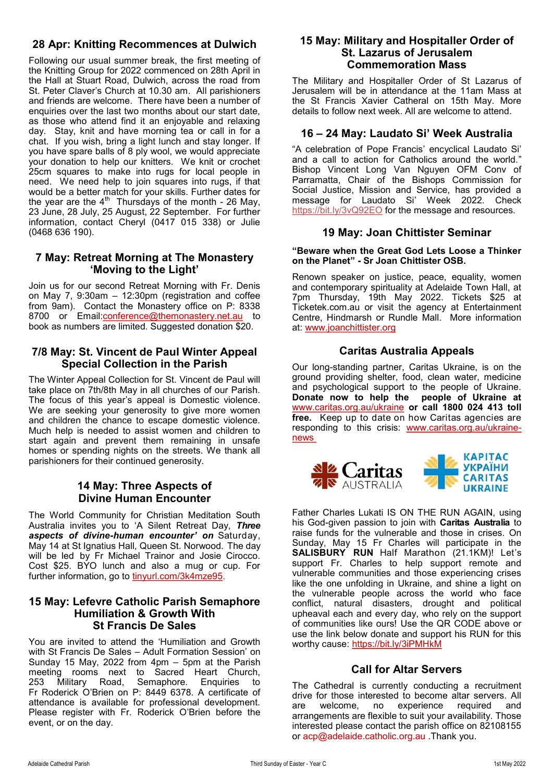# **28 Apr: Knitting Recommences at Dulwich**

Following our usual summer break, the first meeting of the Knitting Group for 2022 commenced on 28th April in the Hall at Stuart Road, Dulwich, across the road from St. Peter Claver's Church at 10.30 am. All parishioners and friends are welcome. There have been a number of enquiries over the last two months about our start date, as those who attend find it an enjoyable and relaxing day. Stay, knit and have morning tea or call in for a chat. If you wish, bring a light lunch and stay longer. If you have spare balls of 8 ply wool, we would appreciate your donation to help our knitters. We knit or crochet 25cm squares to make into rugs for local people in need. We need help to join squares into rugs, if that would be a better match for your skills. Further dates for the year are the  $4<sup>th</sup>$  Thursdays of the month - 26 May, 23 June, 28 July, 25 August, 22 September. For further information, contact Cheryl (0417 015 338) or Julie (0468 636 190).

## **7 May: Retreat Morning at The Monastery 'Moving to the Light'**

Join us for our second Retreat Morning with Fr. Denis on May 7, 9:30am – 12:30pm (registration and coffee from 9am). Contact the Monastery office on P: 8338 8700 or Email:[conference@themonastery.net.au](mailto:conference@themonastery.net.au) to book as numbers are limited. Suggested donation \$20.

#### **7/8 May: St. Vincent de Paul Winter Appeal Special Collection in the Parish**

The Winter Appeal Collection for St. Vincent de Paul will take place on 7th/8th May in all churches of our Parish. The focus of this year's appeal is Domestic violence. We are seeking your generosity to give more women and children the chance to escape domestic violence. Much help is needed to assist women and children to start again and prevent them remaining in unsafe homes or spending nights on the streets. We thank all parishioners for their continued generosity.

#### **14 May: Three Aspects of Divine Human Encounter**

The World Community for Christian Meditation South Australia invites you to 'A Silent Retreat Day, *Three aspects of divine-human encounter' on* Saturday, May 14 at St Ignatius Hall, Queen St. Norwood. The day will be led by Fr Michael Trainor and Josie Cirocco. Cost \$25. BYO lunch and also a mug or cup. For further information, go to tinyurl.com/3k4mze95.

#### **15 May: Lefevre Catholic Parish Semaphore Humiliation & Growth With St Francis De Sales**

You are invited to attend the 'Humiliation and Growth with St Francis De Sales – Adult Formation Session' on Sunday 15 May, 2022 from 4pm – 5pm at the Parish meeting rooms next to Sacred Heart Church,<br>253 Military Road, Semaphore, Enguiries to 253 Military Road, Semaphore. Enquiries to Fr Roderick O'Brien on P: 8449 6378. A certificate of attendance is available for professional development. Please register with Fr. Roderick O'Brien before the event, or on the day.

#### **15 May: Military and Hospitaller Order of St. Lazarus of Jerusalem Commemoration Mass**

The Military and Hospitaller Order of St Lazarus of Jerusalem will be in attendance at the 11am Mass at the St Francis Xavier Catheral on 15th May. More details to follow next week. All are welcome to attend.

## **16 – 24 May: Laudato Si' Week Australia**

"A celebration of Pope Francis' encyclical Laudato Si' and a call to action for Catholics around the world." Bishop Vincent Long Van Nguyen OFM Conv of Parramatta, Chair of the Bishops Commission for Social Justice, Mission and Service, has provided a message for Laudato Si' Week 2022. Check https://bit.ly/3vQ92EO for the message and resources.

### **19 May: Joan Chittister Seminar**

#### **"Beware when the Great God Lets Loose a Thinker on the Planet" - Sr Joan Chittister OSB.**

Renown speaker on justice, peace, equality, women and contemporary spirituality at Adelaide Town Hall, at 7pm Thursday, 19th May 2022. Tickets \$25 at Ticketek.com.au or visit the agency at Entertainment Centre, Hindmarsh or Rundle Mall. More information at: [www.joanchittister.org](Joan%20Chittister%20Seminar)

## **Caritas Australia Appeals**

Our long-standing partner, Caritas Ukraine, is on the ground providing shelter, food, clean water, medicine and psychological support to the people of Ukraine. **Donate now to help the people of Ukraine at**  [www.caritas.org.au/ukraine](https://aus01.safelinks.protection.outlook.com/?url=http%3A%2F%2Fwww.caritas.org.au%2Fukraine&data=04%7C01%7CCco-Reception%40adelaide.catholic.org.au%7Cfc58bf7f33d340f2ee9b08da07b447d1%7Cfe51d108d61d407cbcaaaab5af82a7ac%7C1%7C0%7C637830768121954887%7CUnknown%) **or call 1800 024 413 toll free.** Keep up to date on how Caritas agencies are responding to this crisis: [www.caritas.org.au/ukraine](https://aus01.safelinks.protection.outlook.com/?url=http%3A%2F%2Fwww.caritas.org.au%2Fukraine-news&data=04%7C01%7CCco-Reception%40adelaide.catholic.org.au%7Cfc58bf7f33d340f2ee9b08da07b447d1%7Cfe51d108d61d407cbcaaaab5af82a7ac%7C1%7C0%7C637830768121954887%7CUnk)[news](https://aus01.safelinks.protection.outlook.com/?url=http%3A%2F%2Fwww.caritas.org.au%2Fukraine-news&data=04%7C01%7CCco-Reception%40adelaide.catholic.org.au%7Cfc58bf7f33d340f2ee9b08da07b447d1%7Cfe51d108d61d407cbcaaaab5af82a7ac%7C1%7C0%7C637830768121954887%7CUnk)



Father Charles Lukati IS ON THE RUN AGAIN, using his God-given passion to join with **Caritas Australia** to raise funds for the vulnerable and those in crises. On Sunday, May 15 Fr Charles will participate in the **SALISBURY RUN** Half Marathon (21.1KM)! Let's support Fr. Charles to help support remote and vulnerable communities and those experiencing crises like the one unfolding in Ukraine, and shine a light on the vulnerable people across the world who face conflict, natural disasters, drought and political upheaval each and every day, who rely on the support of communities like ours! Use the QR CODE above or use the link below donate and support his RUN for this worthy cause: https://bit.ly/3iPMHkM

#### **Call for Altar Servers**

The Cathedral is currently conducting a recruitment drive for those interested to become altar servers. All<br>are welcome, no experience required and welcome, no experience required and arrangements are flexible to suit your availability. Those interested please contact the parish office on 82108155 or acp@adelaide.catholic.org.au .Thank you.